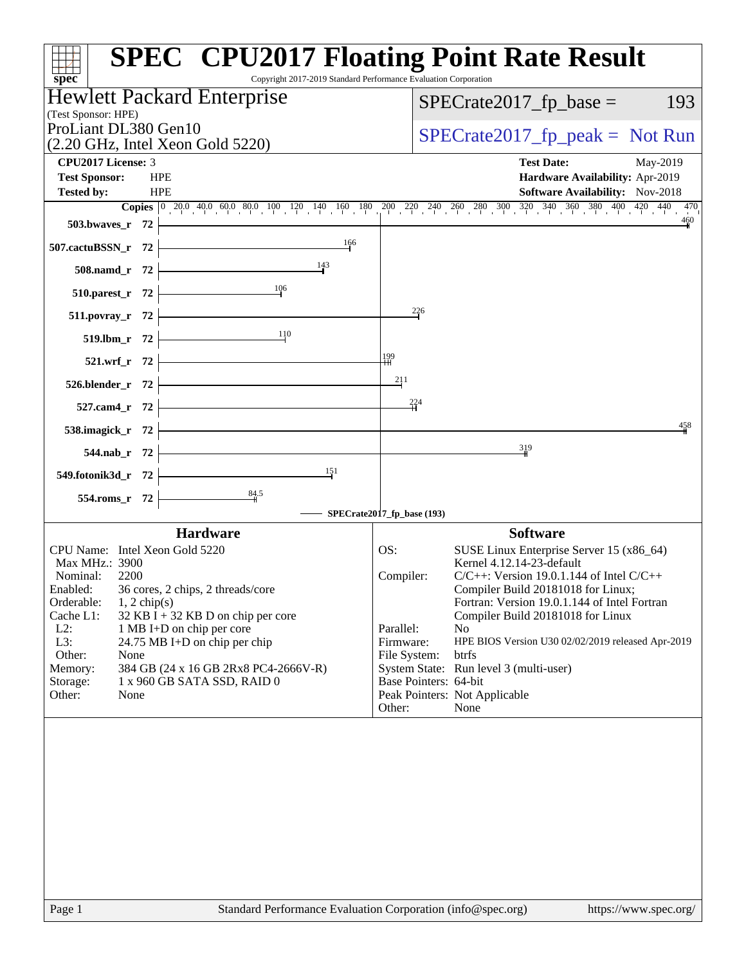| Copyright 2017-2019 Standard Performance Evaluation Corporation<br>$spec^*$                                                                                                                                                                                                                                                                                             | <b>SPEC<sup>®</sup> CPU2017 Floating Point Rate Result</b>                                                                                                                                                                                                                                                                                                                                                             |
|-------------------------------------------------------------------------------------------------------------------------------------------------------------------------------------------------------------------------------------------------------------------------------------------------------------------------------------------------------------------------|------------------------------------------------------------------------------------------------------------------------------------------------------------------------------------------------------------------------------------------------------------------------------------------------------------------------------------------------------------------------------------------------------------------------|
| Hewlett Packard Enterprise                                                                                                                                                                                                                                                                                                                                              | $SPECrate2017_fp\_base =$<br>193                                                                                                                                                                                                                                                                                                                                                                                       |
| (Test Sponsor: HPE)<br>ProLiant DL380 Gen10                                                                                                                                                                                                                                                                                                                             |                                                                                                                                                                                                                                                                                                                                                                                                                        |
| $(2.20 \text{ GHz}, \text{Intel Xeon Gold } 5220)$                                                                                                                                                                                                                                                                                                                      | $SPECrate2017_fp\_peak = Not Run$                                                                                                                                                                                                                                                                                                                                                                                      |
| CPU2017 License: 3                                                                                                                                                                                                                                                                                                                                                      | <b>Test Date:</b><br>May-2019                                                                                                                                                                                                                                                                                                                                                                                          |
| <b>Test Sponsor:</b><br><b>HPE</b>                                                                                                                                                                                                                                                                                                                                      | Hardware Availability: Apr-2019                                                                                                                                                                                                                                                                                                                                                                                        |
| <b>HPE</b><br><b>Tested by:</b>                                                                                                                                                                                                                                                                                                                                         | <b>Software Availability:</b> Nov-2018<br>470                                                                                                                                                                                                                                                                                                                                                                          |
| 503.bwayes_r 72                                                                                                                                                                                                                                                                                                                                                         | 460                                                                                                                                                                                                                                                                                                                                                                                                                    |
| 166<br>507.cactuBSSN_r 72                                                                                                                                                                                                                                                                                                                                               |                                                                                                                                                                                                                                                                                                                                                                                                                        |
| 143<br>508.namd_r 72                                                                                                                                                                                                                                                                                                                                                    |                                                                                                                                                                                                                                                                                                                                                                                                                        |
| 106<br>510.parest_r 72                                                                                                                                                                                                                                                                                                                                                  |                                                                                                                                                                                                                                                                                                                                                                                                                        |
| $511. povray_r$ 72                                                                                                                                                                                                                                                                                                                                                      | $^{226}$                                                                                                                                                                                                                                                                                                                                                                                                               |
| 110<br>519.lbm_r 72                                                                                                                                                                                                                                                                                                                                                     |                                                                                                                                                                                                                                                                                                                                                                                                                        |
| 521.wrf_r 72                                                                                                                                                                                                                                                                                                                                                            | 199                                                                                                                                                                                                                                                                                                                                                                                                                    |
| 526.blender_r 72                                                                                                                                                                                                                                                                                                                                                        | 211                                                                                                                                                                                                                                                                                                                                                                                                                    |
| 527.cam4_r 72                                                                                                                                                                                                                                                                                                                                                           | 224                                                                                                                                                                                                                                                                                                                                                                                                                    |
| 538.imagick_r 72                                                                                                                                                                                                                                                                                                                                                        | 458                                                                                                                                                                                                                                                                                                                                                                                                                    |
| 544.nab_r 72                                                                                                                                                                                                                                                                                                                                                            | 319                                                                                                                                                                                                                                                                                                                                                                                                                    |
| 151<br>549.fotonik3d_r 72                                                                                                                                                                                                                                                                                                                                               |                                                                                                                                                                                                                                                                                                                                                                                                                        |
| $\frac{84.5}{4}$<br>554.roms_r 72                                                                                                                                                                                                                                                                                                                                       |                                                                                                                                                                                                                                                                                                                                                                                                                        |
|                                                                                                                                                                                                                                                                                                                                                                         | SPECrate2017_fp_base (193)                                                                                                                                                                                                                                                                                                                                                                                             |
| <b>Hardware</b><br>CPU Name: Intel Xeon Gold 5220                                                                                                                                                                                                                                                                                                                       | <b>Software</b><br>SUSE Linux Enterprise Server 15 (x86_64)                                                                                                                                                                                                                                                                                                                                                            |
| Max MHz.: 3900<br>Nominal:<br>2200<br>Enabled:<br>36 cores, 2 chips, 2 threads/core<br>Orderable:<br>$1, 2$ chip(s)<br>Cache L1:<br>$32$ KB I + 32 KB D on chip per core<br>$L2$ :<br>1 MB I+D on chip per core<br>L3:<br>24.75 MB I+D on chip per chip<br>Other:<br>None<br>384 GB (24 x 16 GB 2Rx8 PC4-2666V-R)<br>Memory:<br>Storage:<br>1 x 960 GB SATA SSD, RAID 0 | OS:<br>Kernel 4.12.14-23-default<br>$C/C++$ : Version 19.0.1.144 of Intel $C/C++$<br>Compiler:<br>Compiler Build 20181018 for Linux;<br>Fortran: Version 19.0.1.144 of Intel Fortran<br>Compiler Build 20181018 for Linux<br>Parallel:<br>N <sub>o</sub><br>HPE BIOS Version U30 02/02/2019 released Apr-2019<br>Firmware:<br>btrfs<br>File System:<br>System State: Run level 3 (multi-user)<br>Base Pointers: 64-bit |
| Other:<br>None                                                                                                                                                                                                                                                                                                                                                          | Peak Pointers: Not Applicable<br>Other:<br>None                                                                                                                                                                                                                                                                                                                                                                        |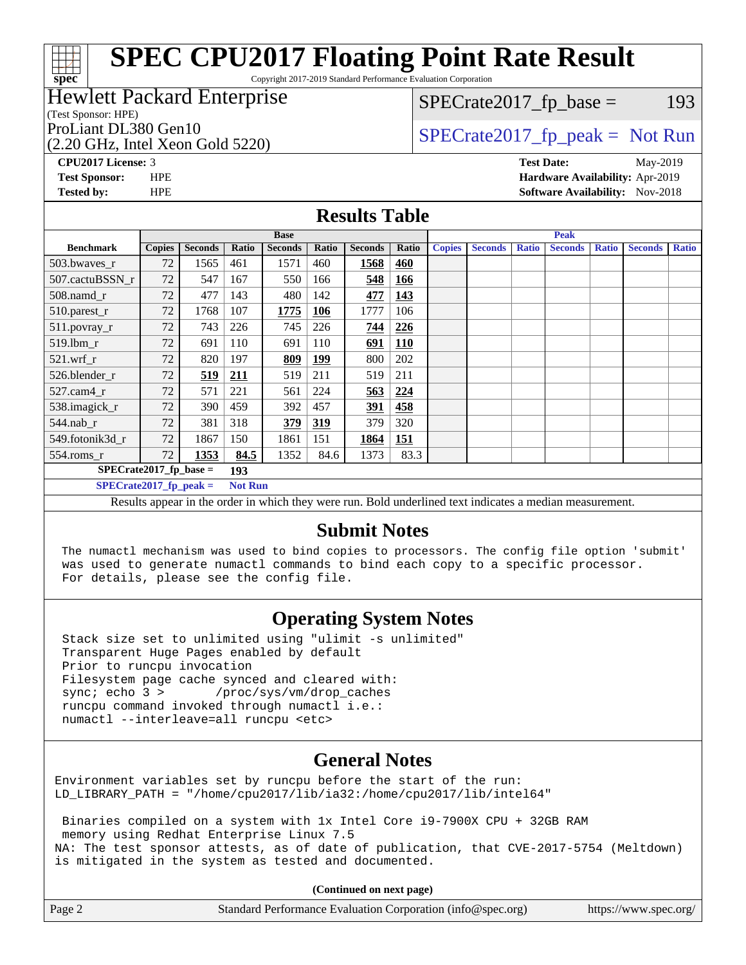Copyright 2017-2019 Standard Performance Evaluation Corporation

#### Hewlett Packard Enterprise

(Test Sponsor: HPE)

(2.20 GHz, Intel Xeon Gold 5220)

 $SPECTate2017<sub>fr</sub> base = 193$ 

## ProLiant DL380 Gen10  $SPECrate2017$ \_fp\_peak = Not Run

**[CPU2017 License:](http://www.spec.org/auto/cpu2017/Docs/result-fields.html#CPU2017License)** 3 **[Test Date:](http://www.spec.org/auto/cpu2017/Docs/result-fields.html#TestDate)** May-2019 **[Test Sponsor:](http://www.spec.org/auto/cpu2017/Docs/result-fields.html#TestSponsor)** HPE **[Hardware Availability:](http://www.spec.org/auto/cpu2017/Docs/result-fields.html#HardwareAvailability)** Apr-2019 **[Tested by:](http://www.spec.org/auto/cpu2017/Docs/result-fields.html#Testedby)** HPE **[Software Availability:](http://www.spec.org/auto/cpu2017/Docs/result-fields.html#SoftwareAvailability)** Nov-2018

#### **[Results Table](http://www.spec.org/auto/cpu2017/Docs/result-fields.html#ResultsTable)**

|                           | <b>Base</b>    |                |              |                 |            | <b>Peak</b>    |                                                                                                                 |               |                |              |                |              |                |              |
|---------------------------|----------------|----------------|--------------|-----------------|------------|----------------|-----------------------------------------------------------------------------------------------------------------|---------------|----------------|--------------|----------------|--------------|----------------|--------------|
| <b>Benchmark</b>          | <b>Copies</b>  | <b>Seconds</b> | <b>Ratio</b> | <b>Seconds</b>  | Ratio      | <b>Seconds</b> | Ratio                                                                                                           | <b>Copies</b> | <b>Seconds</b> | <b>Ratio</b> | <b>Seconds</b> | <b>Ratio</b> | <b>Seconds</b> | <b>Ratio</b> |
| 503.bwaves_r              | 72             | 1565           | 461          | 1571            | 460        | 1568           | 460                                                                                                             |               |                |              |                |              |                |              |
| 507.cactuBSSN r           | 72             | 547            | 167          | 550             | 166        | 548            | 166                                                                                                             |               |                |              |                |              |                |              |
| 508.namd_r                | 72             | 477            | 143          | 480             | 142        | 477            | 143                                                                                                             |               |                |              |                |              |                |              |
| 510.parest_r              | 72             | 1768           | 107          | 1775            | 106        | 1777           | 106                                                                                                             |               |                |              |                |              |                |              |
| 511.povray_r              | 72             | 743            | 226          | 745             | 226        | 744            | 226                                                                                                             |               |                |              |                |              |                |              |
| $519$ .lbm $r$            | 72             | 691            | 110          | 691             | 110        | 691            | <b>110</b>                                                                                                      |               |                |              |                |              |                |              |
| $521$ .wrf r              | 72             | 820            | 197          | 809             | <u>199</u> | 800            | 202                                                                                                             |               |                |              |                |              |                |              |
| 526.blender r             | 72             | 519            | 211          | 519             | 211        | 519            | 211                                                                                                             |               |                |              |                |              |                |              |
| $527$ .cam $4r$           | 72             | 571            | 221          | 561             | 224        | 563            | 224                                                                                                             |               |                |              |                |              |                |              |
| 538.imagick_r             | 72             | 390            | 459          | 392             | 457        | 391            | 458                                                                                                             |               |                |              |                |              |                |              |
| $544$ .nab r              | 72             | 381            | 318          | 379             | 319        | 379            | 320                                                                                                             |               |                |              |                |              |                |              |
| 549.fotonik3d r           | 72             | 1867           | 150          | 1861            | 151        | 1864           | 151                                                                                                             |               |                |              |                |              |                |              |
| $554$ .roms_r             | 72             | 1353           | 84.5         | 1352            | 84.6       | 1373           | 83.3                                                                                                            |               |                |              |                |              |                |              |
| $SPECrate2017$ fp base =  |                |                |              | 193             |            |                |                                                                                                                 |               |                |              |                |              |                |              |
| $SPECrate2017_fp\_peak =$ | <b>Not Run</b> |                |              |                 |            |                |                                                                                                                 |               |                |              |                |              |                |              |
| $\mathbf{r}$ 1.           | $\mathbf{r}$ . | .              |              | T <sub>11</sub> |            |                | the contract of the contract of the contract of the contract of the contract of the contract of the contract of |               | $\mathbf{H}$   |              |                |              |                |              |

Results appear in the [order in which they were run.](http://www.spec.org/auto/cpu2017/Docs/result-fields.html#RunOrder) Bold underlined text [indicates a median measurement.](http://www.spec.org/auto/cpu2017/Docs/result-fields.html#Median)

#### **[Submit Notes](http://www.spec.org/auto/cpu2017/Docs/result-fields.html#SubmitNotes)**

 The numactl mechanism was used to bind copies to processors. The config file option 'submit' was used to generate numactl commands to bind each copy to a specific processor. For details, please see the config file.

### **[Operating System Notes](http://www.spec.org/auto/cpu2017/Docs/result-fields.html#OperatingSystemNotes)**

 Stack size set to unlimited using "ulimit -s unlimited" Transparent Huge Pages enabled by default Prior to runcpu invocation Filesystem page cache synced and cleared with: sync; echo 3 > /proc/sys/vm/drop\_caches runcpu command invoked through numactl i.e.: numactl --interleave=all runcpu <etc>

### **[General Notes](http://www.spec.org/auto/cpu2017/Docs/result-fields.html#GeneralNotes)**

Environment variables set by runcpu before the start of the run: LD\_LIBRARY\_PATH = "/home/cpu2017/lib/ia32:/home/cpu2017/lib/intel64"

 Binaries compiled on a system with 1x Intel Core i9-7900X CPU + 32GB RAM memory using Redhat Enterprise Linux 7.5 NA: The test sponsor attests, as of date of publication, that CVE-2017-5754 (Meltdown) is mitigated in the system as tested and documented.

**(Continued on next page)**

| Page 2 | Standard Performance Evaluation Corporation (info@spec.org) | https://www.spec.org/ |
|--------|-------------------------------------------------------------|-----------------------|
|--------|-------------------------------------------------------------|-----------------------|

**[spec](http://www.spec.org/)**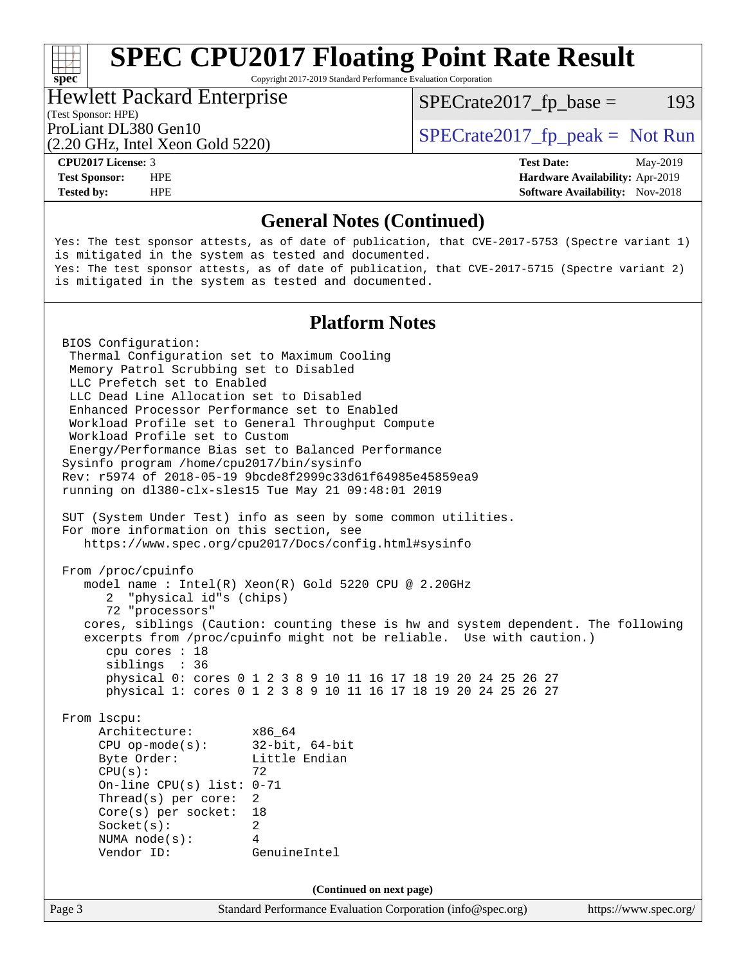Copyright 2017-2019 Standard Performance Evaluation Corporation

#### Hewlett Packard Enterprise

 $SPECTate2017<sub>fr</sub> base = 193$ 

#### (Test Sponsor: HPE)

(2.20 GHz, Intel Xeon Gold 5220)

ProLiant DL380 Gen10  $SPECTA 5220$   $SPECTA 5220$ 

**[spec](http://www.spec.org/)**<sup>®</sup>

**[Tested by:](http://www.spec.org/auto/cpu2017/Docs/result-fields.html#Testedby)** HPE **[Software Availability:](http://www.spec.org/auto/cpu2017/Docs/result-fields.html#SoftwareAvailability)** Nov-2018

**[CPU2017 License:](http://www.spec.org/auto/cpu2017/Docs/result-fields.html#CPU2017License)** 3 **[Test Date:](http://www.spec.org/auto/cpu2017/Docs/result-fields.html#TestDate)** May-2019 **[Test Sponsor:](http://www.spec.org/auto/cpu2017/Docs/result-fields.html#TestSponsor)** HPE **[Hardware Availability:](http://www.spec.org/auto/cpu2017/Docs/result-fields.html#HardwareAvailability)** Apr-2019

#### **[General Notes \(Continued\)](http://www.spec.org/auto/cpu2017/Docs/result-fields.html#GeneralNotes)**

Yes: The test sponsor attests, as of date of publication, that CVE-2017-5753 (Spectre variant 1) is mitigated in the system as tested and documented. Yes: The test sponsor attests, as of date of publication, that CVE-2017-5715 (Spectre variant 2) is mitigated in the system as tested and documented.

#### **[Platform Notes](http://www.spec.org/auto/cpu2017/Docs/result-fields.html#PlatformNotes)**

Page 3 Standard Performance Evaluation Corporation [\(info@spec.org\)](mailto:info@spec.org) <https://www.spec.org/> BIOS Configuration: Thermal Configuration set to Maximum Cooling Memory Patrol Scrubbing set to Disabled LLC Prefetch set to Enabled LLC Dead Line Allocation set to Disabled Enhanced Processor Performance set to Enabled Workload Profile set to General Throughput Compute Workload Profile set to Custom Energy/Performance Bias set to Balanced Performance Sysinfo program /home/cpu2017/bin/sysinfo Rev: r5974 of 2018-05-19 9bcde8f2999c33d61f64985e45859ea9 running on dl380-clx-sles15 Tue May 21 09:48:01 2019 SUT (System Under Test) info as seen by some common utilities. For more information on this section, see <https://www.spec.org/cpu2017/Docs/config.html#sysinfo> From /proc/cpuinfo model name : Intel(R) Xeon(R) Gold 5220 CPU @ 2.20GHz 2 "physical id"s (chips) 72 "processors" cores, siblings (Caution: counting these is hw and system dependent. The following excerpts from /proc/cpuinfo might not be reliable. Use with caution.) cpu cores : 18 siblings : 36 physical 0: cores 0 1 2 3 8 9 10 11 16 17 18 19 20 24 25 26 27 physical 1: cores 0 1 2 3 8 9 10 11 16 17 18 19 20 24 25 26 27 From lscpu: Architecture: x86\_64 CPU op-mode(s): 32-bit, 64-bit Byte Order: Little Endian  $CPU(s):$  72 On-line CPU(s) list: 0-71 Thread(s) per core: 2 Core(s) per socket: 18 Socket(s): 2 NUMA node(s): 4 Vendor ID: GenuineIntel **(Continued on next page)**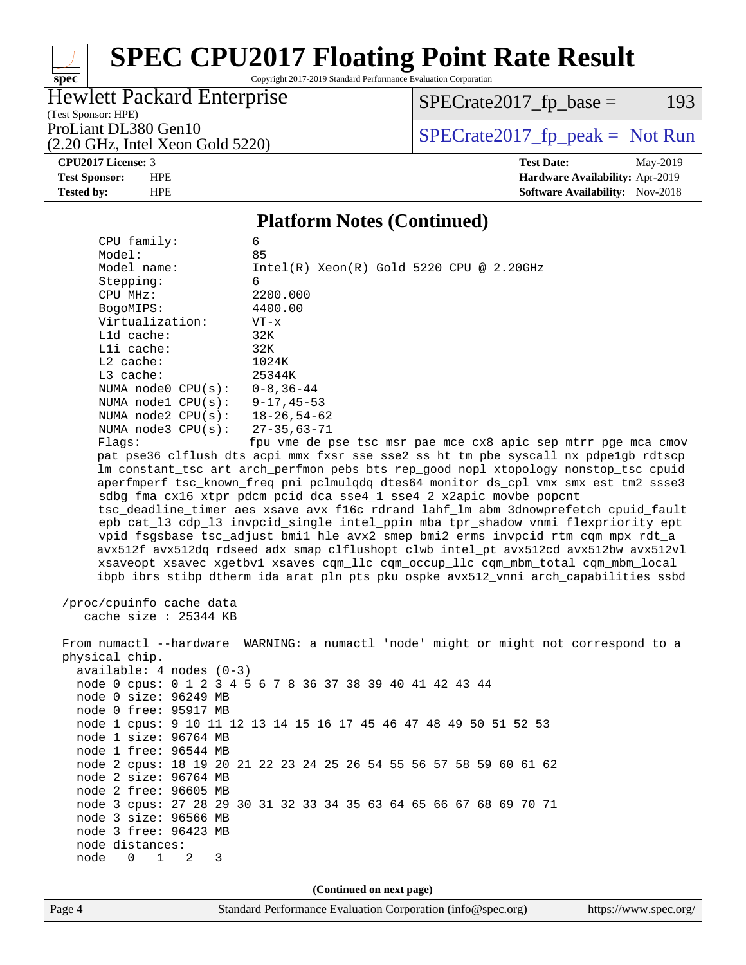Copyright 2017-2019 Standard Performance Evaluation Corporation

### Hewlett Packard Enterprise

(2.20 GHz, Intel Xeon Gold 5220)

 $SPECrate2017_fp\_base = 193$ 

(Test Sponsor: HPE)

ProLiant DL380 Gen10<br>  $(2.20 \text{ GHz})$  Intel Xeon Gold 5220)

**[spec](http://www.spec.org/)**

 $\pm$ 

**[CPU2017 License:](http://www.spec.org/auto/cpu2017/Docs/result-fields.html#CPU2017License)** 3 **[Test Date:](http://www.spec.org/auto/cpu2017/Docs/result-fields.html#TestDate)** May-2019 **[Test Sponsor:](http://www.spec.org/auto/cpu2017/Docs/result-fields.html#TestSponsor)** HPE **[Hardware Availability:](http://www.spec.org/auto/cpu2017/Docs/result-fields.html#HardwareAvailability)** Apr-2019 **[Tested by:](http://www.spec.org/auto/cpu2017/Docs/result-fields.html#Testedby)** HPE **HPE [Software Availability:](http://www.spec.org/auto/cpu2017/Docs/result-fields.html#SoftwareAvailability)** Nov-2018

#### **[Platform Notes \(Continued\)](http://www.spec.org/auto/cpu2017/Docs/result-fields.html#PlatformNotes)**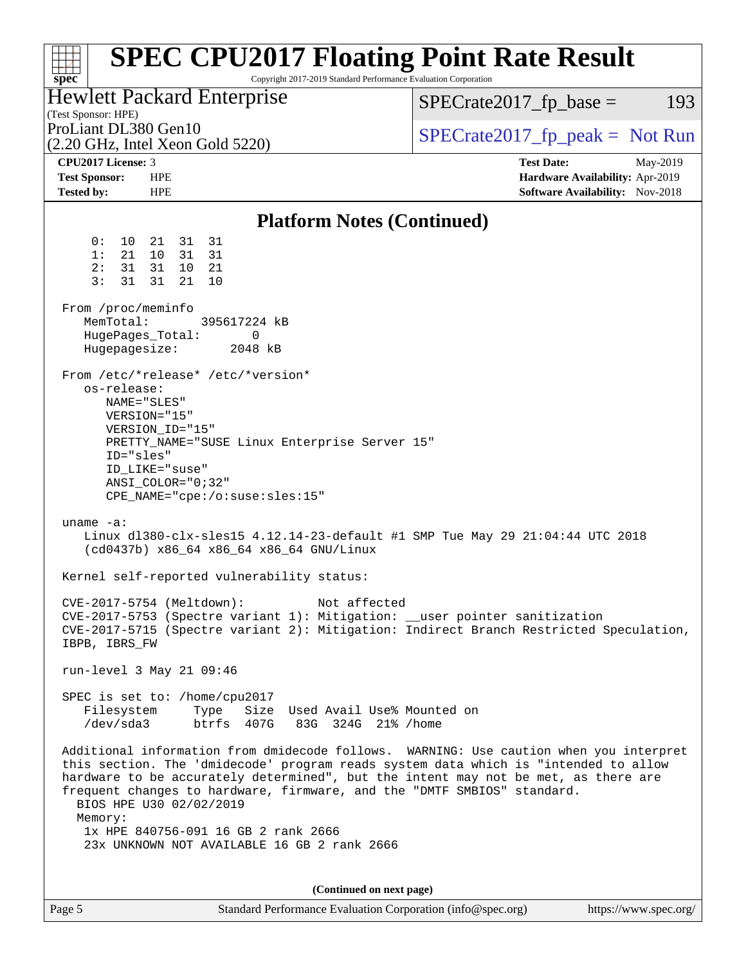| <b>Hewlett Packard Enterprise</b><br>$SPECrate2017_fp\_base =$<br>193<br>(Test Sponsor: HPE)<br>ProLiant DL380 Gen10<br>$SPECrate2017fr peak = Not Run$<br>$(2.20 \text{ GHz}, \text{Intel Xeon Gold } 5220)$<br>CPU2017 License: 3<br><b>Test Date:</b><br>May-2019<br><b>Test Sponsor:</b><br><b>HPE</b><br>Hardware Availability: Apr-2019<br><b>HPE</b><br>Software Availability: Nov-2018<br><b>Tested by:</b><br><b>Platform Notes (Continued)</b><br>31<br>0 :<br>10<br>21<br>31<br>1:<br>21<br>10<br>31<br>31<br>2:<br>31<br>31<br>10<br>- 21<br>3:<br>31<br>31<br>21<br>10<br>From /proc/meminfo<br>MemTotal:<br>395617224 kB<br>0<br>HugePages_Total:<br>Hugepagesize:<br>2048 kB<br>From /etc/*release* /etc/*version*<br>os-release:<br>NAME="SLES"<br>VERSION="15"<br>VERSION_ID="15"<br>PRETTY_NAME="SUSE Linux Enterprise Server 15"<br>ID="sles"<br>ID LIKE="suse"<br>$ANSI$ _COLOR="0;32"<br>CPE_NAME="cpe:/o:suse:sles:15"<br>uname $-a$ :<br>Linux dl380-clx-sles15 4.12.14-23-default #1 SMP Tue May 29 21:04:44 UTC 2018<br>(cd0437b) x86_64 x86_64 x86_64 GNU/Linux<br>Kernel self-reported vulnerability status:<br>$CVE-2017-5754$ (Meltdown):<br>Not affected<br>CVE-2017-5753 (Spectre variant 1): Mitigation: __user pointer sanitization<br>CVE-2017-5715 (Spectre variant 2): Mitigation: Indirect Branch Restricted Speculation,<br>IBPB, IBRS_FW<br>run-level 3 May 21 09:46<br>SPEC is set to: /home/cpu2017<br>Filesystem<br>Type<br>Size Used Avail Use% Mounted on<br>btrfs 407G<br>/dev/sda3<br>83G 324G 21% / home<br>Additional information from dmidecode follows. WARNING: Use caution when you interpret<br>this section. The 'dmidecode' program reads system data which is "intended to allow<br>hardware to be accurately determined", but the intent may not be met, as there are<br>frequent changes to hardware, firmware, and the "DMTF SMBIOS" standard.<br>BIOS HPE U30 02/02/2019<br>Memory:<br>1x HPE 840756-091 16 GB 2 rank 2666<br>23x UNKNOWN NOT AVAILABLE 16 GB 2 rank 2666<br>(Continued on next page)<br>Standard Performance Evaluation Corporation (info@spec.org)<br>https://www.spec.org/<br>Page 5 | <b>SPEC CPU2017 Floating Point Rate Result</b><br>Copyright 2017-2019 Standard Performance Evaluation Corporation<br>$spec^*$ |  |
|---------------------------------------------------------------------------------------------------------------------------------------------------------------------------------------------------------------------------------------------------------------------------------------------------------------------------------------------------------------------------------------------------------------------------------------------------------------------------------------------------------------------------------------------------------------------------------------------------------------------------------------------------------------------------------------------------------------------------------------------------------------------------------------------------------------------------------------------------------------------------------------------------------------------------------------------------------------------------------------------------------------------------------------------------------------------------------------------------------------------------------------------------------------------------------------------------------------------------------------------------------------------------------------------------------------------------------------------------------------------------------------------------------------------------------------------------------------------------------------------------------------------------------------------------------------------------------------------------------------------------------------------------------------------------------------------------------------------------------------------------------------------------------------------------------------------------------------------------------------------------------------------------------------------------------------------------------------------------------------------------------------------------------------------------------------------------------------------------------------------------------------------------------------------|-------------------------------------------------------------------------------------------------------------------------------|--|
|                                                                                                                                                                                                                                                                                                                                                                                                                                                                                                                                                                                                                                                                                                                                                                                                                                                                                                                                                                                                                                                                                                                                                                                                                                                                                                                                                                                                                                                                                                                                                                                                                                                                                                                                                                                                                                                                                                                                                                                                                                                                                                                                                                     |                                                                                                                               |  |
|                                                                                                                                                                                                                                                                                                                                                                                                                                                                                                                                                                                                                                                                                                                                                                                                                                                                                                                                                                                                                                                                                                                                                                                                                                                                                                                                                                                                                                                                                                                                                                                                                                                                                                                                                                                                                                                                                                                                                                                                                                                                                                                                                                     |                                                                                                                               |  |
|                                                                                                                                                                                                                                                                                                                                                                                                                                                                                                                                                                                                                                                                                                                                                                                                                                                                                                                                                                                                                                                                                                                                                                                                                                                                                                                                                                                                                                                                                                                                                                                                                                                                                                                                                                                                                                                                                                                                                                                                                                                                                                                                                                     |                                                                                                                               |  |
|                                                                                                                                                                                                                                                                                                                                                                                                                                                                                                                                                                                                                                                                                                                                                                                                                                                                                                                                                                                                                                                                                                                                                                                                                                                                                                                                                                                                                                                                                                                                                                                                                                                                                                                                                                                                                                                                                                                                                                                                                                                                                                                                                                     |                                                                                                                               |  |
|                                                                                                                                                                                                                                                                                                                                                                                                                                                                                                                                                                                                                                                                                                                                                                                                                                                                                                                                                                                                                                                                                                                                                                                                                                                                                                                                                                                                                                                                                                                                                                                                                                                                                                                                                                                                                                                                                                                                                                                                                                                                                                                                                                     |                                                                                                                               |  |
|                                                                                                                                                                                                                                                                                                                                                                                                                                                                                                                                                                                                                                                                                                                                                                                                                                                                                                                                                                                                                                                                                                                                                                                                                                                                                                                                                                                                                                                                                                                                                                                                                                                                                                                                                                                                                                                                                                                                                                                                                                                                                                                                                                     |                                                                                                                               |  |
|                                                                                                                                                                                                                                                                                                                                                                                                                                                                                                                                                                                                                                                                                                                                                                                                                                                                                                                                                                                                                                                                                                                                                                                                                                                                                                                                                                                                                                                                                                                                                                                                                                                                                                                                                                                                                                                                                                                                                                                                                                                                                                                                                                     |                                                                                                                               |  |
|                                                                                                                                                                                                                                                                                                                                                                                                                                                                                                                                                                                                                                                                                                                                                                                                                                                                                                                                                                                                                                                                                                                                                                                                                                                                                                                                                                                                                                                                                                                                                                                                                                                                                                                                                                                                                                                                                                                                                                                                                                                                                                                                                                     |                                                                                                                               |  |
|                                                                                                                                                                                                                                                                                                                                                                                                                                                                                                                                                                                                                                                                                                                                                                                                                                                                                                                                                                                                                                                                                                                                                                                                                                                                                                                                                                                                                                                                                                                                                                                                                                                                                                                                                                                                                                                                                                                                                                                                                                                                                                                                                                     |                                                                                                                               |  |
|                                                                                                                                                                                                                                                                                                                                                                                                                                                                                                                                                                                                                                                                                                                                                                                                                                                                                                                                                                                                                                                                                                                                                                                                                                                                                                                                                                                                                                                                                                                                                                                                                                                                                                                                                                                                                                                                                                                                                                                                                                                                                                                                                                     |                                                                                                                               |  |
|                                                                                                                                                                                                                                                                                                                                                                                                                                                                                                                                                                                                                                                                                                                                                                                                                                                                                                                                                                                                                                                                                                                                                                                                                                                                                                                                                                                                                                                                                                                                                                                                                                                                                                                                                                                                                                                                                                                                                                                                                                                                                                                                                                     |                                                                                                                               |  |
|                                                                                                                                                                                                                                                                                                                                                                                                                                                                                                                                                                                                                                                                                                                                                                                                                                                                                                                                                                                                                                                                                                                                                                                                                                                                                                                                                                                                                                                                                                                                                                                                                                                                                                                                                                                                                                                                                                                                                                                                                                                                                                                                                                     |                                                                                                                               |  |
|                                                                                                                                                                                                                                                                                                                                                                                                                                                                                                                                                                                                                                                                                                                                                                                                                                                                                                                                                                                                                                                                                                                                                                                                                                                                                                                                                                                                                                                                                                                                                                                                                                                                                                                                                                                                                                                                                                                                                                                                                                                                                                                                                                     |                                                                                                                               |  |
|                                                                                                                                                                                                                                                                                                                                                                                                                                                                                                                                                                                                                                                                                                                                                                                                                                                                                                                                                                                                                                                                                                                                                                                                                                                                                                                                                                                                                                                                                                                                                                                                                                                                                                                                                                                                                                                                                                                                                                                                                                                                                                                                                                     |                                                                                                                               |  |
|                                                                                                                                                                                                                                                                                                                                                                                                                                                                                                                                                                                                                                                                                                                                                                                                                                                                                                                                                                                                                                                                                                                                                                                                                                                                                                                                                                                                                                                                                                                                                                                                                                                                                                                                                                                                                                                                                                                                                                                                                                                                                                                                                                     |                                                                                                                               |  |
|                                                                                                                                                                                                                                                                                                                                                                                                                                                                                                                                                                                                                                                                                                                                                                                                                                                                                                                                                                                                                                                                                                                                                                                                                                                                                                                                                                                                                                                                                                                                                                                                                                                                                                                                                                                                                                                                                                                                                                                                                                                                                                                                                                     |                                                                                                                               |  |
|                                                                                                                                                                                                                                                                                                                                                                                                                                                                                                                                                                                                                                                                                                                                                                                                                                                                                                                                                                                                                                                                                                                                                                                                                                                                                                                                                                                                                                                                                                                                                                                                                                                                                                                                                                                                                                                                                                                                                                                                                                                                                                                                                                     |                                                                                                                               |  |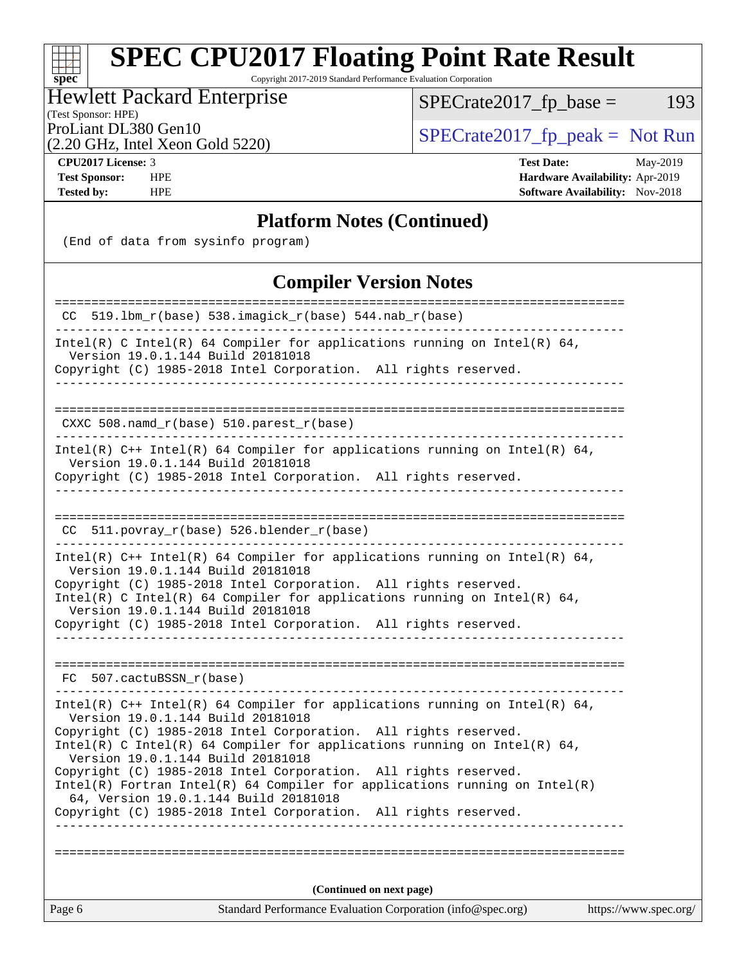Copyright 2017-2019 Standard Performance Evaluation Corporation

### Hewlett Packard Enterprise

(Test Sponsor: HPE)

 $SPECrate2017_fp\_base = 193$ 

(2.20 GHz, Intel Xeon Gold 5220)

ProLiant DL380 Gen10<br>  $(2.20 \text{ GHz} \text{ Intel } \text{Xeon} \text{ Gold } 5220)$   $\qquad \qquad$  [SPECrate2017\\_fp\\_peak =](http://www.spec.org/auto/cpu2017/Docs/result-fields.html#SPECrate2017fppeak) Not Run

**[spec](http://www.spec.org/)**

**[CPU2017 License:](http://www.spec.org/auto/cpu2017/Docs/result-fields.html#CPU2017License)** 3 **[Test Date:](http://www.spec.org/auto/cpu2017/Docs/result-fields.html#TestDate)** May-2019 **[Test Sponsor:](http://www.spec.org/auto/cpu2017/Docs/result-fields.html#TestSponsor)** HPE **[Hardware Availability:](http://www.spec.org/auto/cpu2017/Docs/result-fields.html#HardwareAvailability)** Apr-2019 **[Tested by:](http://www.spec.org/auto/cpu2017/Docs/result-fields.html#Testedby)** HPE **HPE [Software Availability:](http://www.spec.org/auto/cpu2017/Docs/result-fields.html#SoftwareAvailability)** Nov-2018

#### **[Platform Notes \(Continued\)](http://www.spec.org/auto/cpu2017/Docs/result-fields.html#PlatformNotes)**

(End of data from sysinfo program)

#### **[Compiler Version Notes](http://www.spec.org/auto/cpu2017/Docs/result-fields.html#CompilerVersionNotes)**

| Standard Performance Evaluation Corporation (info@spec.org)<br>Page 6                                                                                                                | https://www.spec.org/ |
|--------------------------------------------------------------------------------------------------------------------------------------------------------------------------------------|-----------------------|
| (Continued on next page)                                                                                                                                                             |                       |
|                                                                                                                                                                                      |                       |
| Copyright (C) 1985-2018 Intel Corporation. All rights reserved.                                                                                                                      |                       |
| $Intel(R)$ Fortran Intel(R) 64 Compiler for applications running on Intel(R)<br>64, Version 19.0.1.144 Build 20181018                                                                |                       |
| Copyright (C) 1985-2018 Intel Corporation. All rights reserved.                                                                                                                      |                       |
| Intel(R) C Intel(R) 64 Compiler for applications running on Intel(R) 64,<br>Version 19.0.1.144 Build 20181018                                                                        |                       |
| Intel(R) $C++$ Intel(R) 64 Compiler for applications running on Intel(R) 64,<br>Version 19.0.1.144 Build 20181018<br>Copyright (C) 1985-2018 Intel Corporation. All rights reserved. |                       |
| FC 507.cactuBSSN r(base)                                                                                                                                                             |                       |
|                                                                                                                                                                                      |                       |
| Copyright (C) 1985-2018 Intel Corporation. All rights reserved.                                                                                                                      |                       |
| Intel(R) C Intel(R) 64 Compiler for applications running on Intel(R) 64,<br>Version 19.0.1.144 Build 20181018                                                                        |                       |
| Version 19.0.1.144 Build 20181018<br>Copyright (C) 1985-2018 Intel Corporation. All rights reserved.                                                                                 |                       |
| Intel(R) $C++$ Intel(R) 64 Compiler for applications running on Intel(R) 64,                                                                                                         |                       |
| CC 511.povray_r(base) 526.blender_r(base)                                                                                                                                            |                       |
|                                                                                                                                                                                      |                       |
| Intel(R) $C++$ Intel(R) 64 Compiler for applications running on Intel(R) 64,<br>Version 19.0.1.144 Build 20181018<br>Copyright (C) 1985-2018 Intel Corporation. All rights reserved. |                       |
|                                                                                                                                                                                      |                       |
| CXXC 508.namd_r(base) 510.parest_r(base)                                                                                                                                             |                       |
|                                                                                                                                                                                      |                       |
| Version 19.0.1.144 Build 20181018<br>Copyright (C) 1985-2018 Intel Corporation. All rights reserved.                                                                                 |                       |
| Intel(R) C Intel(R) 64 Compiler for applications running on Intel(R) 64,                                                                                                             |                       |
| =====================================<br>CC 519.1bm_r(base) 538.imagick_r(base) 544.nab_r(base)                                                                                      |                       |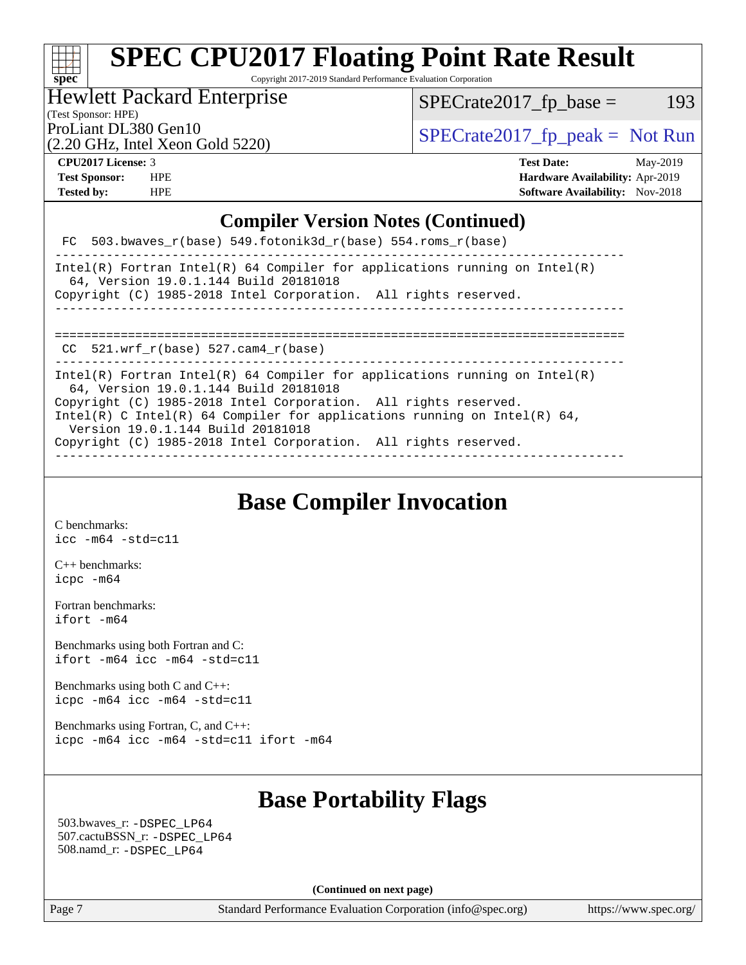#### at t **[spec](http://www.spec.org/)**

# **[SPEC CPU2017 Floating Point Rate Result](http://www.spec.org/auto/cpu2017/Docs/result-fields.html#SPECCPU2017FloatingPointRateResult)**

Copyright 2017-2019 Standard Performance Evaluation Corporation

### Hewlett Packard Enterprise

 $SPECTate2017_fp\_base = 193$ 

(Test Sponsor: HPE)

(2.20 GHz, Intel Xeon Gold 5220)

ProLiant DL380 Gen10<br>  $\begin{array}{r} \text{SPECrate2017\_fp\_peak = Not Run} \\ \text{SPECrate2017\_fp\_peak = Not Run} \end{array}$ 

**[CPU2017 License:](http://www.spec.org/auto/cpu2017/Docs/result-fields.html#CPU2017License)** 3 **[Test Date:](http://www.spec.org/auto/cpu2017/Docs/result-fields.html#TestDate)** May-2019 **[Test Sponsor:](http://www.spec.org/auto/cpu2017/Docs/result-fields.html#TestSponsor)** HPE **[Hardware Availability:](http://www.spec.org/auto/cpu2017/Docs/result-fields.html#HardwareAvailability)** Apr-2019 **[Tested by:](http://www.spec.org/auto/cpu2017/Docs/result-fields.html#Testedby)** HPE **HPE [Software Availability:](http://www.spec.org/auto/cpu2017/Docs/result-fields.html#SoftwareAvailability)** Nov-2018

#### **[Compiler Version Notes \(Continued\)](http://www.spec.org/auto/cpu2017/Docs/result-fields.html#CompilerVersionNotes)**

| FC 503.bwaves $r(base)$ 549.fotonik3d $r(base)$ 554.roms $r(base)$<br>Intel(R) Fortran Intel(R) 64 Compiler for applications running on Intel(R)<br>64, Version 19.0.1.144 Build 20181018<br>Copyright (C) 1985-2018 Intel Corporation. All rights reserved.<br>_______________________________<br>CC $521.$ wrf r(base) 527.cam4 r(base)<br>Intel(R) Fortran Intel(R) 64 Compiler for applications running on Intel(R)<br>64, Version 19.0.1.144 Build 20181018<br>Copyright (C) 1985-2018 Intel Corporation. All rights reserved.<br>Intel(R) C Intel(R) 64 Compiler for applications running on Intel(R) 64,<br>Version 19.0.1.144 Build 20181018<br>Copyright (C) 1985-2018 Intel Corporation. All rights reserved. |  |
|-------------------------------------------------------------------------------------------------------------------------------------------------------------------------------------------------------------------------------------------------------------------------------------------------------------------------------------------------------------------------------------------------------------------------------------------------------------------------------------------------------------------------------------------------------------------------------------------------------------------------------------------------------------------------------------------------------------------------|--|
|                                                                                                                                                                                                                                                                                                                                                                                                                                                                                                                                                                                                                                                                                                                         |  |
|                                                                                                                                                                                                                                                                                                                                                                                                                                                                                                                                                                                                                                                                                                                         |  |
|                                                                                                                                                                                                                                                                                                                                                                                                                                                                                                                                                                                                                                                                                                                         |  |
|                                                                                                                                                                                                                                                                                                                                                                                                                                                                                                                                                                                                                                                                                                                         |  |
|                                                                                                                                                                                                                                                                                                                                                                                                                                                                                                                                                                                                                                                                                                                         |  |
|                                                                                                                                                                                                                                                                                                                                                                                                                                                                                                                                                                                                                                                                                                                         |  |
|                                                                                                                                                                                                                                                                                                                                                                                                                                                                                                                                                                                                                                                                                                                         |  |
|                                                                                                                                                                                                                                                                                                                                                                                                                                                                                                                                                                                                                                                                                                                         |  |
|                                                                                                                                                                                                                                                                                                                                                                                                                                                                                                                                                                                                                                                                                                                         |  |
|                                                                                                                                                                                                                                                                                                                                                                                                                                                                                                                                                                                                                                                                                                                         |  |

**[Base Compiler Invocation](http://www.spec.org/auto/cpu2017/Docs/result-fields.html#BaseCompilerInvocation)**

[C benchmarks](http://www.spec.org/auto/cpu2017/Docs/result-fields.html#Cbenchmarks): [icc -m64 -std=c11](http://www.spec.org/cpu2017/results/res2019q3/cpu2017-20190624-15570.flags.html#user_CCbase_intel_icc_64bit_c11_33ee0cdaae7deeeab2a9725423ba97205ce30f63b9926c2519791662299b76a0318f32ddfffdc46587804de3178b4f9328c46fa7c2b0cd779d7a61945c91cd35)

[C++ benchmarks:](http://www.spec.org/auto/cpu2017/Docs/result-fields.html#CXXbenchmarks) [icpc -m64](http://www.spec.org/cpu2017/results/res2019q3/cpu2017-20190624-15570.flags.html#user_CXXbase_intel_icpc_64bit_4ecb2543ae3f1412ef961e0650ca070fec7b7afdcd6ed48761b84423119d1bf6bdf5cad15b44d48e7256388bc77273b966e5eb805aefd121eb22e9299b2ec9d9)

[Fortran benchmarks](http://www.spec.org/auto/cpu2017/Docs/result-fields.html#Fortranbenchmarks): [ifort -m64](http://www.spec.org/cpu2017/results/res2019q3/cpu2017-20190624-15570.flags.html#user_FCbase_intel_ifort_64bit_24f2bb282fbaeffd6157abe4f878425411749daecae9a33200eee2bee2fe76f3b89351d69a8130dd5949958ce389cf37ff59a95e7a40d588e8d3a57e0c3fd751)

[Benchmarks using both Fortran and C](http://www.spec.org/auto/cpu2017/Docs/result-fields.html#BenchmarksusingbothFortranandC): [ifort -m64](http://www.spec.org/cpu2017/results/res2019q3/cpu2017-20190624-15570.flags.html#user_CC_FCbase_intel_ifort_64bit_24f2bb282fbaeffd6157abe4f878425411749daecae9a33200eee2bee2fe76f3b89351d69a8130dd5949958ce389cf37ff59a95e7a40d588e8d3a57e0c3fd751) [icc -m64 -std=c11](http://www.spec.org/cpu2017/results/res2019q3/cpu2017-20190624-15570.flags.html#user_CC_FCbase_intel_icc_64bit_c11_33ee0cdaae7deeeab2a9725423ba97205ce30f63b9926c2519791662299b76a0318f32ddfffdc46587804de3178b4f9328c46fa7c2b0cd779d7a61945c91cd35)

[Benchmarks using both C and C++](http://www.spec.org/auto/cpu2017/Docs/result-fields.html#BenchmarksusingbothCandCXX): [icpc -m64](http://www.spec.org/cpu2017/results/res2019q3/cpu2017-20190624-15570.flags.html#user_CC_CXXbase_intel_icpc_64bit_4ecb2543ae3f1412ef961e0650ca070fec7b7afdcd6ed48761b84423119d1bf6bdf5cad15b44d48e7256388bc77273b966e5eb805aefd121eb22e9299b2ec9d9) [icc -m64 -std=c11](http://www.spec.org/cpu2017/results/res2019q3/cpu2017-20190624-15570.flags.html#user_CC_CXXbase_intel_icc_64bit_c11_33ee0cdaae7deeeab2a9725423ba97205ce30f63b9926c2519791662299b76a0318f32ddfffdc46587804de3178b4f9328c46fa7c2b0cd779d7a61945c91cd35)

[Benchmarks using Fortran, C, and C++:](http://www.spec.org/auto/cpu2017/Docs/result-fields.html#BenchmarksusingFortranCandCXX) [icpc -m64](http://www.spec.org/cpu2017/results/res2019q3/cpu2017-20190624-15570.flags.html#user_CC_CXX_FCbase_intel_icpc_64bit_4ecb2543ae3f1412ef961e0650ca070fec7b7afdcd6ed48761b84423119d1bf6bdf5cad15b44d48e7256388bc77273b966e5eb805aefd121eb22e9299b2ec9d9) [icc -m64 -std=c11](http://www.spec.org/cpu2017/results/res2019q3/cpu2017-20190624-15570.flags.html#user_CC_CXX_FCbase_intel_icc_64bit_c11_33ee0cdaae7deeeab2a9725423ba97205ce30f63b9926c2519791662299b76a0318f32ddfffdc46587804de3178b4f9328c46fa7c2b0cd779d7a61945c91cd35) [ifort -m64](http://www.spec.org/cpu2017/results/res2019q3/cpu2017-20190624-15570.flags.html#user_CC_CXX_FCbase_intel_ifort_64bit_24f2bb282fbaeffd6157abe4f878425411749daecae9a33200eee2bee2fe76f3b89351d69a8130dd5949958ce389cf37ff59a95e7a40d588e8d3a57e0c3fd751)

## **[Base Portability Flags](http://www.spec.org/auto/cpu2017/Docs/result-fields.html#BasePortabilityFlags)**

 503.bwaves\_r: [-DSPEC\\_LP64](http://www.spec.org/cpu2017/results/res2019q3/cpu2017-20190624-15570.flags.html#suite_basePORTABILITY503_bwaves_r_DSPEC_LP64) 507.cactuBSSN\_r: [-DSPEC\\_LP64](http://www.spec.org/cpu2017/results/res2019q3/cpu2017-20190624-15570.flags.html#suite_basePORTABILITY507_cactuBSSN_r_DSPEC_LP64) 508.namd\_r: [-DSPEC\\_LP64](http://www.spec.org/cpu2017/results/res2019q3/cpu2017-20190624-15570.flags.html#suite_basePORTABILITY508_namd_r_DSPEC_LP64)

**(Continued on next page)**

Page 7 Standard Performance Evaluation Corporation [\(info@spec.org\)](mailto:info@spec.org) <https://www.spec.org/>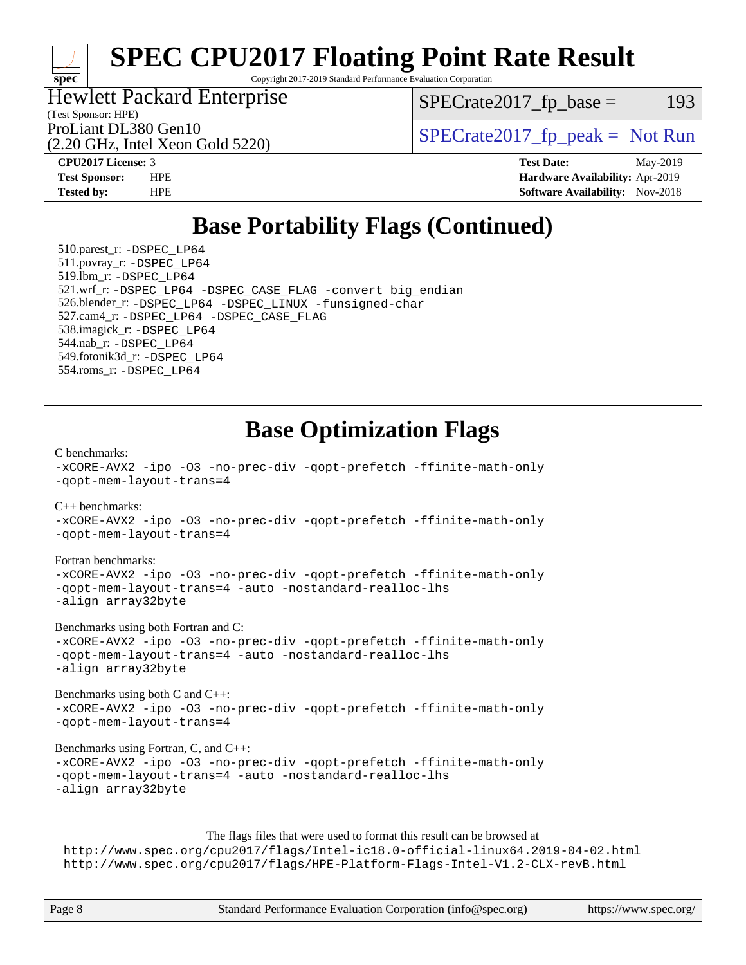# **[spec](http://www.spec.org/)**

# **[SPEC CPU2017 Floating Point Rate Result](http://www.spec.org/auto/cpu2017/Docs/result-fields.html#SPECCPU2017FloatingPointRateResult)**

Copyright 2017-2019 Standard Performance Evaluation Corporation

#### Hewlett Packard Enterprise

(2.20 GHz, Intel Xeon Gold 5220)

 $SPECTate2017<sub>fr</sub> base = 193$ 

(Test Sponsor: HPE)

ProLiant DL380 Gen10  $SPECrate2017$ \_fp\_peak = Not Run

**[CPU2017 License:](http://www.spec.org/auto/cpu2017/Docs/result-fields.html#CPU2017License)** 3 **[Test Date:](http://www.spec.org/auto/cpu2017/Docs/result-fields.html#TestDate)** May-2019 **[Test Sponsor:](http://www.spec.org/auto/cpu2017/Docs/result-fields.html#TestSponsor)** HPE **[Hardware Availability:](http://www.spec.org/auto/cpu2017/Docs/result-fields.html#HardwareAvailability)** Apr-2019 **[Tested by:](http://www.spec.org/auto/cpu2017/Docs/result-fields.html#Testedby)** HPE **[Software Availability:](http://www.spec.org/auto/cpu2017/Docs/result-fields.html#SoftwareAvailability)** Nov-2018

## **[Base Portability Flags \(Continued\)](http://www.spec.org/auto/cpu2017/Docs/result-fields.html#BasePortabilityFlags)**

 510.parest\_r: [-DSPEC\\_LP64](http://www.spec.org/cpu2017/results/res2019q3/cpu2017-20190624-15570.flags.html#suite_basePORTABILITY510_parest_r_DSPEC_LP64) 511.povray\_r: [-DSPEC\\_LP64](http://www.spec.org/cpu2017/results/res2019q3/cpu2017-20190624-15570.flags.html#suite_basePORTABILITY511_povray_r_DSPEC_LP64) 519.lbm\_r: [-DSPEC\\_LP64](http://www.spec.org/cpu2017/results/res2019q3/cpu2017-20190624-15570.flags.html#suite_basePORTABILITY519_lbm_r_DSPEC_LP64) 521.wrf\_r: [-DSPEC\\_LP64](http://www.spec.org/cpu2017/results/res2019q3/cpu2017-20190624-15570.flags.html#suite_basePORTABILITY521_wrf_r_DSPEC_LP64) [-DSPEC\\_CASE\\_FLAG](http://www.spec.org/cpu2017/results/res2019q3/cpu2017-20190624-15570.flags.html#b521.wrf_r_baseCPORTABILITY_DSPEC_CASE_FLAG) [-convert big\\_endian](http://www.spec.org/cpu2017/results/res2019q3/cpu2017-20190624-15570.flags.html#user_baseFPORTABILITY521_wrf_r_convert_big_endian_c3194028bc08c63ac5d04de18c48ce6d347e4e562e8892b8bdbdc0214820426deb8554edfa529a3fb25a586e65a3d812c835984020483e7e73212c4d31a38223) 526.blender\_r: [-DSPEC\\_LP64](http://www.spec.org/cpu2017/results/res2019q3/cpu2017-20190624-15570.flags.html#suite_basePORTABILITY526_blender_r_DSPEC_LP64) [-DSPEC\\_LINUX](http://www.spec.org/cpu2017/results/res2019q3/cpu2017-20190624-15570.flags.html#b526.blender_r_baseCPORTABILITY_DSPEC_LINUX) [-funsigned-char](http://www.spec.org/cpu2017/results/res2019q3/cpu2017-20190624-15570.flags.html#user_baseCPORTABILITY526_blender_r_force_uchar_40c60f00ab013830e2dd6774aeded3ff59883ba5a1fc5fc14077f794d777847726e2a5858cbc7672e36e1b067e7e5c1d9a74f7176df07886a243d7cc18edfe67) 527.cam4\_r: [-DSPEC\\_LP64](http://www.spec.org/cpu2017/results/res2019q3/cpu2017-20190624-15570.flags.html#suite_basePORTABILITY527_cam4_r_DSPEC_LP64) [-DSPEC\\_CASE\\_FLAG](http://www.spec.org/cpu2017/results/res2019q3/cpu2017-20190624-15570.flags.html#b527.cam4_r_baseCPORTABILITY_DSPEC_CASE_FLAG) 538.imagick\_r: [-DSPEC\\_LP64](http://www.spec.org/cpu2017/results/res2019q3/cpu2017-20190624-15570.flags.html#suite_basePORTABILITY538_imagick_r_DSPEC_LP64) 544.nab\_r: [-DSPEC\\_LP64](http://www.spec.org/cpu2017/results/res2019q3/cpu2017-20190624-15570.flags.html#suite_basePORTABILITY544_nab_r_DSPEC_LP64) 549.fotonik3d\_r: [-DSPEC\\_LP64](http://www.spec.org/cpu2017/results/res2019q3/cpu2017-20190624-15570.flags.html#suite_basePORTABILITY549_fotonik3d_r_DSPEC_LP64) 554.roms\_r: [-DSPEC\\_LP64](http://www.spec.org/cpu2017/results/res2019q3/cpu2017-20190624-15570.flags.html#suite_basePORTABILITY554_roms_r_DSPEC_LP64)

## **[Base Optimization Flags](http://www.spec.org/auto/cpu2017/Docs/result-fields.html#BaseOptimizationFlags)**

[C benchmarks](http://www.spec.org/auto/cpu2017/Docs/result-fields.html#Cbenchmarks):

[-xCORE-AVX2](http://www.spec.org/cpu2017/results/res2019q3/cpu2017-20190624-15570.flags.html#user_CCbase_f-xCORE-AVX2) [-ipo](http://www.spec.org/cpu2017/results/res2019q3/cpu2017-20190624-15570.flags.html#user_CCbase_f-ipo) [-O3](http://www.spec.org/cpu2017/results/res2019q3/cpu2017-20190624-15570.flags.html#user_CCbase_f-O3) [-no-prec-div](http://www.spec.org/cpu2017/results/res2019q3/cpu2017-20190624-15570.flags.html#user_CCbase_f-no-prec-div) [-qopt-prefetch](http://www.spec.org/cpu2017/results/res2019q3/cpu2017-20190624-15570.flags.html#user_CCbase_f-qopt-prefetch) [-ffinite-math-only](http://www.spec.org/cpu2017/results/res2019q3/cpu2017-20190624-15570.flags.html#user_CCbase_f_finite_math_only_cb91587bd2077682c4b38af759c288ed7c732db004271a9512da14a4f8007909a5f1427ecbf1a0fb78ff2a814402c6114ac565ca162485bbcae155b5e4258871) [-qopt-mem-layout-trans=4](http://www.spec.org/cpu2017/results/res2019q3/cpu2017-20190624-15570.flags.html#user_CCbase_f-qopt-mem-layout-trans_fa39e755916c150a61361b7846f310bcdf6f04e385ef281cadf3647acec3f0ae266d1a1d22d972a7087a248fd4e6ca390a3634700869573d231a252c784941a8) [C++ benchmarks:](http://www.spec.org/auto/cpu2017/Docs/result-fields.html#CXXbenchmarks) [-xCORE-AVX2](http://www.spec.org/cpu2017/results/res2019q3/cpu2017-20190624-15570.flags.html#user_CXXbase_f-xCORE-AVX2) [-ipo](http://www.spec.org/cpu2017/results/res2019q3/cpu2017-20190624-15570.flags.html#user_CXXbase_f-ipo) [-O3](http://www.spec.org/cpu2017/results/res2019q3/cpu2017-20190624-15570.flags.html#user_CXXbase_f-O3) [-no-prec-div](http://www.spec.org/cpu2017/results/res2019q3/cpu2017-20190624-15570.flags.html#user_CXXbase_f-no-prec-div) [-qopt-prefetch](http://www.spec.org/cpu2017/results/res2019q3/cpu2017-20190624-15570.flags.html#user_CXXbase_f-qopt-prefetch) [-ffinite-math-only](http://www.spec.org/cpu2017/results/res2019q3/cpu2017-20190624-15570.flags.html#user_CXXbase_f_finite_math_only_cb91587bd2077682c4b38af759c288ed7c732db004271a9512da14a4f8007909a5f1427ecbf1a0fb78ff2a814402c6114ac565ca162485bbcae155b5e4258871) [-qopt-mem-layout-trans=4](http://www.spec.org/cpu2017/results/res2019q3/cpu2017-20190624-15570.flags.html#user_CXXbase_f-qopt-mem-layout-trans_fa39e755916c150a61361b7846f310bcdf6f04e385ef281cadf3647acec3f0ae266d1a1d22d972a7087a248fd4e6ca390a3634700869573d231a252c784941a8) [Fortran benchmarks](http://www.spec.org/auto/cpu2017/Docs/result-fields.html#Fortranbenchmarks): [-xCORE-AVX2](http://www.spec.org/cpu2017/results/res2019q3/cpu2017-20190624-15570.flags.html#user_FCbase_f-xCORE-AVX2) [-ipo](http://www.spec.org/cpu2017/results/res2019q3/cpu2017-20190624-15570.flags.html#user_FCbase_f-ipo) [-O3](http://www.spec.org/cpu2017/results/res2019q3/cpu2017-20190624-15570.flags.html#user_FCbase_f-O3) [-no-prec-div](http://www.spec.org/cpu2017/results/res2019q3/cpu2017-20190624-15570.flags.html#user_FCbase_f-no-prec-div) [-qopt-prefetch](http://www.spec.org/cpu2017/results/res2019q3/cpu2017-20190624-15570.flags.html#user_FCbase_f-qopt-prefetch) [-ffinite-math-only](http://www.spec.org/cpu2017/results/res2019q3/cpu2017-20190624-15570.flags.html#user_FCbase_f_finite_math_only_cb91587bd2077682c4b38af759c288ed7c732db004271a9512da14a4f8007909a5f1427ecbf1a0fb78ff2a814402c6114ac565ca162485bbcae155b5e4258871) [-qopt-mem-layout-trans=4](http://www.spec.org/cpu2017/results/res2019q3/cpu2017-20190624-15570.flags.html#user_FCbase_f-qopt-mem-layout-trans_fa39e755916c150a61361b7846f310bcdf6f04e385ef281cadf3647acec3f0ae266d1a1d22d972a7087a248fd4e6ca390a3634700869573d231a252c784941a8) [-auto](http://www.spec.org/cpu2017/results/res2019q3/cpu2017-20190624-15570.flags.html#user_FCbase_f-auto) [-nostandard-realloc-lhs](http://www.spec.org/cpu2017/results/res2019q3/cpu2017-20190624-15570.flags.html#user_FCbase_f_2003_std_realloc_82b4557e90729c0f113870c07e44d33d6f5a304b4f63d4c15d2d0f1fab99f5daaed73bdb9275d9ae411527f28b936061aa8b9c8f2d63842963b95c9dd6426b8a) [-align array32byte](http://www.spec.org/cpu2017/results/res2019q3/cpu2017-20190624-15570.flags.html#user_FCbase_align_array32byte_b982fe038af199962ba9a80c053b8342c548c85b40b8e86eb3cc33dee0d7986a4af373ac2d51c3f7cf710a18d62fdce2948f201cd044323541f22fc0fffc51b6) [Benchmarks using both Fortran and C](http://www.spec.org/auto/cpu2017/Docs/result-fields.html#BenchmarksusingbothFortranandC): [-xCORE-AVX2](http://www.spec.org/cpu2017/results/res2019q3/cpu2017-20190624-15570.flags.html#user_CC_FCbase_f-xCORE-AVX2) [-ipo](http://www.spec.org/cpu2017/results/res2019q3/cpu2017-20190624-15570.flags.html#user_CC_FCbase_f-ipo) [-O3](http://www.spec.org/cpu2017/results/res2019q3/cpu2017-20190624-15570.flags.html#user_CC_FCbase_f-O3) [-no-prec-div](http://www.spec.org/cpu2017/results/res2019q3/cpu2017-20190624-15570.flags.html#user_CC_FCbase_f-no-prec-div) [-qopt-prefetch](http://www.spec.org/cpu2017/results/res2019q3/cpu2017-20190624-15570.flags.html#user_CC_FCbase_f-qopt-prefetch) [-ffinite-math-only](http://www.spec.org/cpu2017/results/res2019q3/cpu2017-20190624-15570.flags.html#user_CC_FCbase_f_finite_math_only_cb91587bd2077682c4b38af759c288ed7c732db004271a9512da14a4f8007909a5f1427ecbf1a0fb78ff2a814402c6114ac565ca162485bbcae155b5e4258871) [-qopt-mem-layout-trans=4](http://www.spec.org/cpu2017/results/res2019q3/cpu2017-20190624-15570.flags.html#user_CC_FCbase_f-qopt-mem-layout-trans_fa39e755916c150a61361b7846f310bcdf6f04e385ef281cadf3647acec3f0ae266d1a1d22d972a7087a248fd4e6ca390a3634700869573d231a252c784941a8) [-auto](http://www.spec.org/cpu2017/results/res2019q3/cpu2017-20190624-15570.flags.html#user_CC_FCbase_f-auto) [-nostandard-realloc-lhs](http://www.spec.org/cpu2017/results/res2019q3/cpu2017-20190624-15570.flags.html#user_CC_FCbase_f_2003_std_realloc_82b4557e90729c0f113870c07e44d33d6f5a304b4f63d4c15d2d0f1fab99f5daaed73bdb9275d9ae411527f28b936061aa8b9c8f2d63842963b95c9dd6426b8a) [-align array32byte](http://www.spec.org/cpu2017/results/res2019q3/cpu2017-20190624-15570.flags.html#user_CC_FCbase_align_array32byte_b982fe038af199962ba9a80c053b8342c548c85b40b8e86eb3cc33dee0d7986a4af373ac2d51c3f7cf710a18d62fdce2948f201cd044323541f22fc0fffc51b6) [Benchmarks using both C and C++](http://www.spec.org/auto/cpu2017/Docs/result-fields.html#BenchmarksusingbothCandCXX): [-xCORE-AVX2](http://www.spec.org/cpu2017/results/res2019q3/cpu2017-20190624-15570.flags.html#user_CC_CXXbase_f-xCORE-AVX2) [-ipo](http://www.spec.org/cpu2017/results/res2019q3/cpu2017-20190624-15570.flags.html#user_CC_CXXbase_f-ipo) [-O3](http://www.spec.org/cpu2017/results/res2019q3/cpu2017-20190624-15570.flags.html#user_CC_CXXbase_f-O3) [-no-prec-div](http://www.spec.org/cpu2017/results/res2019q3/cpu2017-20190624-15570.flags.html#user_CC_CXXbase_f-no-prec-div) [-qopt-prefetch](http://www.spec.org/cpu2017/results/res2019q3/cpu2017-20190624-15570.flags.html#user_CC_CXXbase_f-qopt-prefetch) [-ffinite-math-only](http://www.spec.org/cpu2017/results/res2019q3/cpu2017-20190624-15570.flags.html#user_CC_CXXbase_f_finite_math_only_cb91587bd2077682c4b38af759c288ed7c732db004271a9512da14a4f8007909a5f1427ecbf1a0fb78ff2a814402c6114ac565ca162485bbcae155b5e4258871) [-qopt-mem-layout-trans=4](http://www.spec.org/cpu2017/results/res2019q3/cpu2017-20190624-15570.flags.html#user_CC_CXXbase_f-qopt-mem-layout-trans_fa39e755916c150a61361b7846f310bcdf6f04e385ef281cadf3647acec3f0ae266d1a1d22d972a7087a248fd4e6ca390a3634700869573d231a252c784941a8) [Benchmarks using Fortran, C, and C++:](http://www.spec.org/auto/cpu2017/Docs/result-fields.html#BenchmarksusingFortranCandCXX) [-xCORE-AVX2](http://www.spec.org/cpu2017/results/res2019q3/cpu2017-20190624-15570.flags.html#user_CC_CXX_FCbase_f-xCORE-AVX2) [-ipo](http://www.spec.org/cpu2017/results/res2019q3/cpu2017-20190624-15570.flags.html#user_CC_CXX_FCbase_f-ipo) [-O3](http://www.spec.org/cpu2017/results/res2019q3/cpu2017-20190624-15570.flags.html#user_CC_CXX_FCbase_f-O3) [-no-prec-div](http://www.spec.org/cpu2017/results/res2019q3/cpu2017-20190624-15570.flags.html#user_CC_CXX_FCbase_f-no-prec-div) [-qopt-prefetch](http://www.spec.org/cpu2017/results/res2019q3/cpu2017-20190624-15570.flags.html#user_CC_CXX_FCbase_f-qopt-prefetch) [-ffinite-math-only](http://www.spec.org/cpu2017/results/res2019q3/cpu2017-20190624-15570.flags.html#user_CC_CXX_FCbase_f_finite_math_only_cb91587bd2077682c4b38af759c288ed7c732db004271a9512da14a4f8007909a5f1427ecbf1a0fb78ff2a814402c6114ac565ca162485bbcae155b5e4258871) [-qopt-mem-layout-trans=4](http://www.spec.org/cpu2017/results/res2019q3/cpu2017-20190624-15570.flags.html#user_CC_CXX_FCbase_f-qopt-mem-layout-trans_fa39e755916c150a61361b7846f310bcdf6f04e385ef281cadf3647acec3f0ae266d1a1d22d972a7087a248fd4e6ca390a3634700869573d231a252c784941a8) [-auto](http://www.spec.org/cpu2017/results/res2019q3/cpu2017-20190624-15570.flags.html#user_CC_CXX_FCbase_f-auto) [-nostandard-realloc-lhs](http://www.spec.org/cpu2017/results/res2019q3/cpu2017-20190624-15570.flags.html#user_CC_CXX_FCbase_f_2003_std_realloc_82b4557e90729c0f113870c07e44d33d6f5a304b4f63d4c15d2d0f1fab99f5daaed73bdb9275d9ae411527f28b936061aa8b9c8f2d63842963b95c9dd6426b8a) [-align array32byte](http://www.spec.org/cpu2017/results/res2019q3/cpu2017-20190624-15570.flags.html#user_CC_CXX_FCbase_align_array32byte_b982fe038af199962ba9a80c053b8342c548c85b40b8e86eb3cc33dee0d7986a4af373ac2d51c3f7cf710a18d62fdce2948f201cd044323541f22fc0fffc51b6) The flags files that were used to format this result can be browsed at <http://www.spec.org/cpu2017/flags/Intel-ic18.0-official-linux64.2019-04-02.html> <http://www.spec.org/cpu2017/flags/HPE-Platform-Flags-Intel-V1.2-CLX-revB.html>